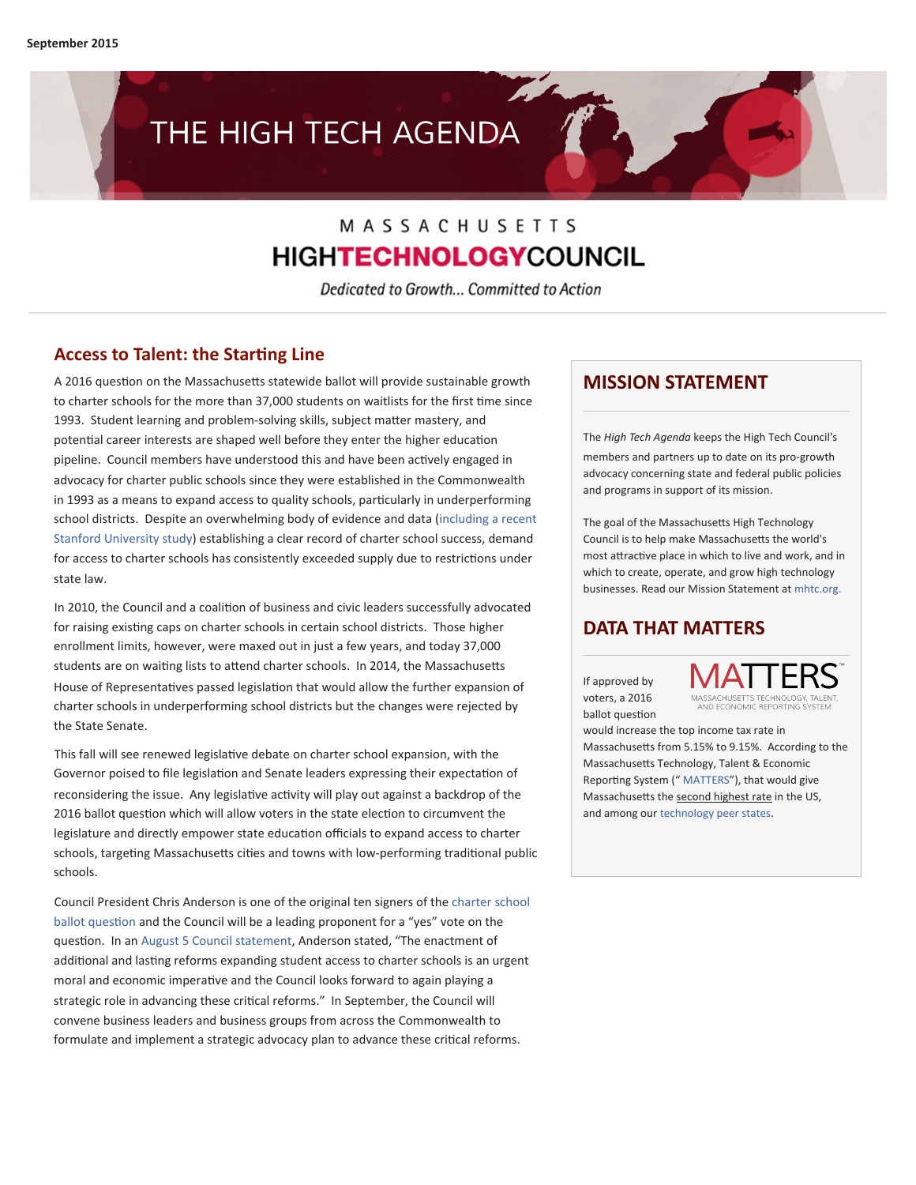# THE HIGH TECH AGENDA

# MASSACHUSETTS **HIGHTECHNOLOGYCOUNCIL**

Dedicated to Growth... Committed to Action

#### **Access to Talent: the Starting Line**

A 2016 question on the Massachusetts statewide ballot will provide sustainable growth to charter schools for the more than 37,000 students on waitlists for the first time since 1993. Student learning and problem-solving skills, subject matter mastery, and potential career interests are shaped well before they enter the higher education pipeline. Council members have understood this and have been actively engaged in advocacy
for
charter
public
schools
since
they
were
established
in
the
Commonwealth in 1993 as a means to expand access to quality schools, particularly in underperforming school districts. Despite an overwhelming body of evidence and data (including a recent Stanford University study) establishing a clear record of charter school success, demand for access to charter schools has consistently exceeded supply due to restrictions under state
law.

In 2010, the Council and a coalition of business and civic leaders successfully advocated for raising existing caps on charter schools in certain school districts. Those higher enrollment
limits,
however,
were
maxed
out
in
just
a
few
years,
and
today
37,000 students are on waiting lists to attend charter schools. In 2014, the Massachusetts House of Representatives passed legislation that would allow the further expansion of charter
schools
in
underperforming
school
districts
but
the
changes
were
rejected
by the
State
Senate.

This fall will see renewed legislative debate on charter school expansion, with the Governor poised to file legislation and Senate leaders expressing their expectation of reconsidering the issue. Any legislative activity will play out against a backdrop of the 2016 ballot question which will allow voters in the state election to circumvent the legislature and directly empower state education officials to expand access to charter schools, targeting Massachusetts cities and towns with low-performing traditional public schools.

Council President Chris Anderson is one of the original ten signers of the charter school ballot question and the Council will be a leading proponent for a "yes" vote on the question. In an August 5 Council statement, Anderson stated, "The enactment of additional and lasting reforms expanding student access to charter schools is an urgent moral and economic imperative and the Council looks forward to again playing a strategic role in advancing these critical reforms." In September, the Council will convene
business
leaders
and
business
groups
from
across
the
Commonwealth
to formulate and implement a strategic advocacy plan to advance these critical reforms.

## **MISSION
STATEMENT**

The *High
Tech
Agenda*keeps
the
High
Tech
Council's members
and
partners
up
to
date
on
its
pro‐growth advocacy
concerning
state
and
federal
public
policies and
programs
in
support
of
its
mission.

The goal of the Massachusetts High Technology Council is to help make Massachusetts the world's most attractive place in which to live and work, and in which to create, operate, and grow high technology businesses.
Read
our
Mission
Statement
at[mhtc.org.](http://www.mhtc.org/about-mhtc/mission-and-beliefs/)

# **DATA
THAT
MATTERS**

If
approved
by voters,
a
2016 ballot question



would
increase
the
top
income
tax
rate
in Massachusetts from 5.15% to 9.15%. According to the Massachusetts Technology, Talent & Economic Reporting System (" MATTERS"), that would give Massachusetts the second highest rate in the US, and
among
our[technology
peer
states](http://matters.mhtc.org/about).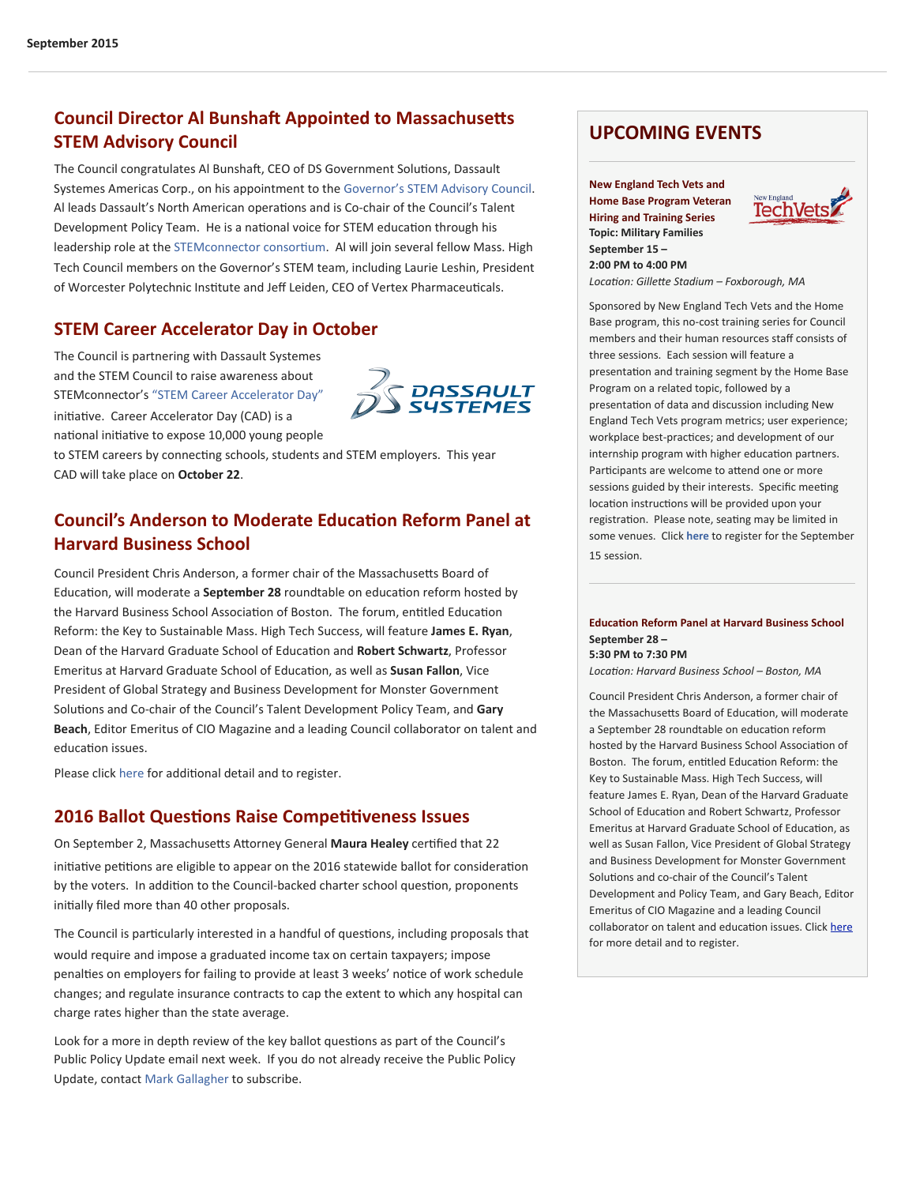# **Council Director Al Bunshaft Appointed to Massachusetts STEM
Advisory
Council**

The Council congratulates Al Bunshaft, CEO of DS Government Solutions, Dassault Systemes Americas Corp., on his appointment to the Governor's STEM Advisory Council. Al leads Dassault's North American operations and is Co-chair of the Council's Talent Development Policy Team. He is a national voice for STEM education through his leadership role at the STEMconnector consortium. Al will join several fellow Mass. High Tech
Council
members
on
the
Governor's
STEM
team,
including
Laurie
Leshin,
President of Worcester Polytechnic Institute and Jeff Leiden, CEO of Vertex Pharmaceuticals.

## **STEM
Career
Accelerator
Day
in
October**

The
Council
is
partnering
with
Dassault
Systemes and
the
STEM
Council
to
raise
awareness
about STEMconnector's["STEM
Career
Accelerator
Day"](http://www.stemconnector.org/sitf/stem-career-accelerator-day)

initiative. Career Accelerator Day (CAD) is a national initiative to expose 10,000 young people



to STEM careers by connecting schools, students and STEM employers. This year CAD
will
take
place
on **October
22**.

# **Council's Anderson to Moderate Education Reform Panel at Harvard
Business
School**

Council President Chris Anderson, a former chair of the Massachusetts Board of Education, will moderate a **September 28** roundtable on education reform hosted by the Harvard Business School Association of Boston. The forum, entitled Education Reform: the Key to Sustainable Mass. High Tech Success, will feature James E. Ryan, Dean of the Harvard Graduate School of Education and Robert Schwartz, Professor Emeritus at Harvard Graduate School of Education, as well as **Susan Fallon**, Vice President
of
Global
Strategy
and
Business
Development
for
Monster
Government Solutions and Co-chair of the Council's Talent Development Policy Team, and Gary Beach, Editor Emeritus of CIO Magazine and a leading Council collaborator on talent and education issues.

Please click here for additional detail and to register.

#### **2016 Ballot Questions Raise Competitiveness Issues**

On September 2, Massachusetts Attorney General Maura Healey certified that 22 initiative petitions are eligible to appear on the 2016 statewide ballot for consideration by the voters. In addition to the Council-backed charter school question, proponents initially filed more than 40 other proposals.

The Council is particularly interested in a handful of questions, including proposals that would
require
and
impose
a
graduated
income
tax
on
certain
taxpayers;
impose penalties on employers for failing to provide at least 3 weeks' notice of work schedule changes;
and
regulate
insurance
contracts
to
cap
the
extent
to
which
any
hospital
can charge
rates
higher
than
the
state
average.

Look for a more in depth review of the key ballot questions as part of the Council's Public Policy Update email next week. If you do not already receive the Public Policy Update,
contact [Mark
Gallagher
t](mailto:mark@mhtc.org)o
subscribe.

# **UPCOMING
EVENTS**

#### **New
England
Tech
Vets
and**

**Home
Base
Program
Veteran Hiring
and
Training
Series Topic:
Military
Families September
15
– 2:00
PM
to
4:00
PM**  Location: Gillette Stadium - Foxborough, MA

Sponsored
by
New
England
Tech
Vets
and
the
Home Base
program,
this
no‐cost
training
series
for
Council members
and
their
human
resources
staff
consists
of three
sessions.

Each
session
will
feature
a presentation and training segment by the Home Base Program on a related topic, followed by a presentation of data and discussion including New England
Tech
Vets
program
metrics;
user
experience; workplace best-practices; and development of our internship program with higher education partners. Participants are welcome to attend one or more sessions guided by their interests. Specific meeting location instructions will be provided upon your registration. Please note, seating may be limited in some venues. Click [here](https://mhtc-events-netv-homebase-training2-09152015.eventbrite.com) to register for the September 15
session.

#### **Education Reform Panel at Harvard Business School September
28
– 5:30
PM
to
7:30
PM**

Location: Harvard Business School - Boston, MA

Council
President
Chris
Anderson,
a
former
chair
of the Massachusetts Board of Education, will moderate a September 28 roundtable on education reform hosted by the Harvard Business School Association of Boston. The forum, entitled Education Reform: the Key
to
Sustainable
Mass.
High
Tech
Success,
will feature
James
E.
Ryan,
Dean
of
the
Harvard
Graduate School of Education and Robert Schwartz, Professor Emeritus at Harvard Graduate School of Education, as well as Susan Fallon, Vice President of Global Strategy and
Business
Development
for
Monster
Government Solutions and co-chair of the Council's Talent Development
and
Policy
Team,
and
Gary
Beach,
Editor Emeritus
of
CIO
Magazine
and
a
leading
Council collaborator on talent and education issues. Click here for
more
detail
and
to
register.

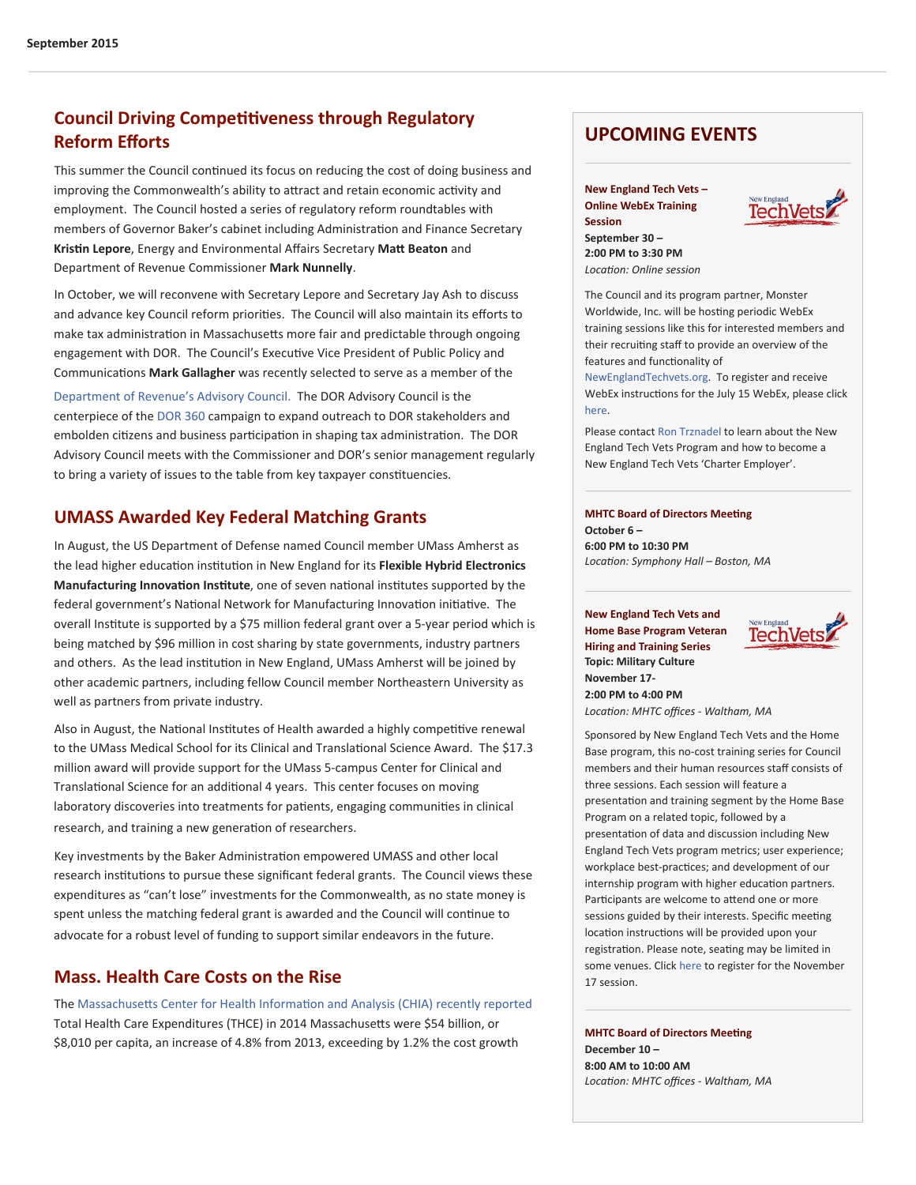# **Council Driving Competitiveness through Regulatory Reform
Efforts**

This summer the Council continued its focus on reducing the cost of doing business and improving the Commonwealth's ability to attract and retain economic activity and employment.

The
Council
hosted
a
series
of
regulatory
reform
roundtables
with members of Governor Baker's cabinet including Administration and Finance Secretary Kristin Lepore, Energy and Environmental Affairs Secretary Matt Beaton and Department
of
Revenue
Commissioner **Mark
Nunnelly**.

In October, we will reconvene with Secretary Lepore and Secretary Jay Ash to discuss and advance key Council reform priorities. The Council will also maintain its efforts to make tax administration in Massachusetts more fair and predictable through ongoing engagement with DOR. The Council's Executive Vice President of Public Policy and Communications Mark Gallagher was recently selected to serve as a member of the

[Department
of
Revenue's
Advisory
Council.](http://www.mass.gov/dor/dor-advisory-council/) The
DOR
Advisory
Council
is
the centerpiece
of
the [DOR
360](http://www.mass.gov/dor/dor360/) campaign
to
expand
outreach
to
DOR
stakeholders
and embolden citizens and business participation in shaping tax administration. The DOR Advisory
Council
meets
with
the
Commissioner
and
DOR's
senior
management
regularly to bring a variety of issues to the table from key taxpayer constituencies.

# **UMASS
Awarded
Key
Federal
Matching
Grants**

In August, the US Department of Defense named Council member UMass Amherst as the lead higher education institution in New England for its Flexible Hybrid Electronics Manufacturing Innovation Institute, one of seven national institutes supported by the federal government's National Network for Manufacturing Innovation initiative. The overall Institute is supported by a \$75 million federal grant over a 5-year period which is being
matched
by
\$96
million
in
cost
sharing
by
state
governments,
industry
partners and others. As the lead institution in New England, UMass Amherst will be joined by other
academic
partners,
including
fellow
Council
member
Northeastern
University
as well
as
partners
from
private
industry.

Also in August, the National Institutes of Health awarded a highly competitive renewal to the UMass Medical School for its Clinical and Translational Science Award. The \$17.3 million award will provide support for the UMass 5-campus Center for Clinical and Translational Science for an additional 4 years. This center focuses on moving laboratory discoveries into treatments for patients, engaging communities in clinical research, and training a new generation of researchers.

Key investments by the Baker Administration empowered UMASS and other local research institutions to pursue these significant federal grants. The Council views these expenditures as "can't lose" investments for the Commonwealth, as no state money is spent unless the matching federal grant is awarded and the Council will continue to advocate for a robust level of funding to support similar endeavors in the future.

#### **Mass.
Health
Care
Costs
on
the
Rise**

The Massachusetts Center for Health Information and Analysis (CHIA) recently reported Total Health Care Expenditures (THCE) in 2014 Massachusetts were \$54 billion, or \$8,010 per capita, an increase of 4.8% from 2013, exceeding by 1.2% the cost growth

# **UPCOMING
EVENTS**

**New
England
Tech
Vets
– Online
WebEx
Training Session September
30
– 2:00
PM
to
3:30
PM** Location: Online session

The
Council
and
its
program
partner,
Monster Worldwide, Inc. will be hosting periodic WebEx training
sessions
like
this
for
interested
members
and their recruiting staff to provide an overview of the features and functionality of

[NewEnglandTechvets.org.](http://www.newenglandtechvets.org/)To
register
and
receive WebEx instructions for the July 15 WebEx, please click [here.](http://mhtc-events-netv-webex-09302015.eventbrite.com)

Please
contact[Ron
Trznadel](mailto:ron@mhtc.org?subject=) to
learn
about
the
New England
Tech
Vets
Program
and
how
to
become
a New
England
Tech
Vets
'Charter
Employer'.

#### **MHTC Board of Directors Meeting October
6
–**

**6:00
PM
to
10:30
PM** Location: Symphony Hall - Boston, MA

**New
England
Tech
Vets
and Home
Base
Program
Veteran Hiring
and
Training
Series Topic:
Military
Culture November
17‐ 2:00
PM
to
4:00
PM**



Location: MHTC offices - Waltham, MA

Sponsored
by
New
England
Tech
Vets
and
the
Home Base program, this no-cost training series for Council members
and
their
human
resources
staff
consists
of three
sessions.
Each
session
will
feature
a presentation and training segment by the Home Base Program on a related topic, followed by a presentation of data and discussion including New England
Tech
Vets
program
metrics;
user
experience; workplace best-practices; and development of our internship program with higher education partners. Participants are welcome to attend one or more sessions guided by their interests. Specific meeting location instructions will be provided upon your registration. Please note, seating may be limited in some
venues.
Click[here](https://mhtc-events-netv-homebase-training3-11172015.eventbrite.com) to
register
for
the
November 17
session.

**MHTC Board of Directors Meeting December
10
– 8:00
AM
to
10:00
AM** Location: MHTC offices - Waltham, MA

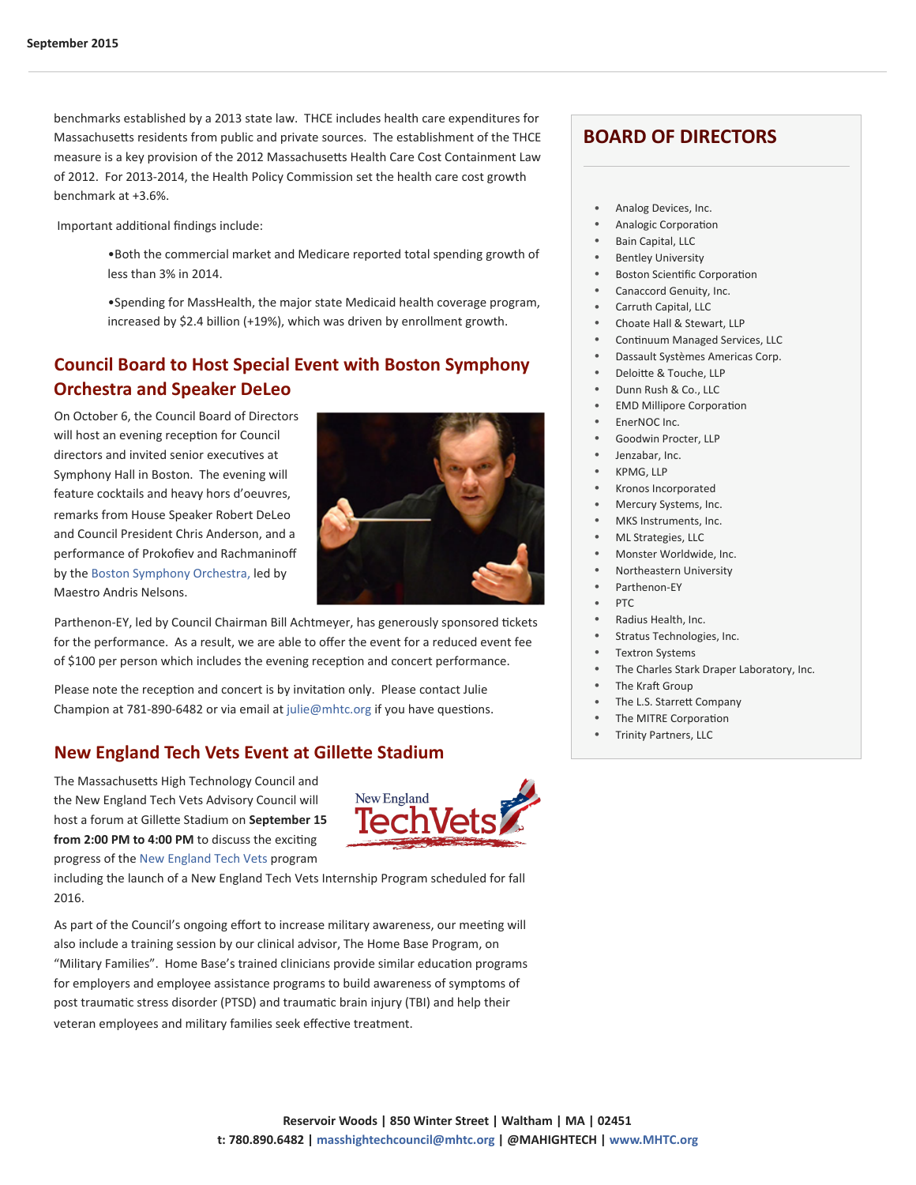benchmarks
established
by
a
2013
state
law.

THCE
includes
health
care
expenditures
for Massachusetts residents from public and private sources. The establishment of the THCE measure is a key provision of the 2012 Massachusetts Health Care Cost Containment Law of 2012. For 2013-2014, the Health Policy Commission set the health care cost growth benchmark
at
+3.6%.

Important additional findings include:

•Both
the
commercial
market
and
Medicare
reported
total
spending
growth
of less
than
3%
in
2014.

•Spending
for
MassHealth,
the
major
state
Medicaid
health
coverage
program, increased by \$2.4 billion (+19%), which was driven by enrollment growth.

# **Council
Board
to
Host
Special
Event
with
Boston
Symphony Orchestra
and
Speaker
DeLeo**

On
October
6,
the
Council
Board
of
Directors will host an evening reception for Council directors and invited senior executives at Symphony
Hall
in
Boston.

The
evening
will feature
cocktails
and
heavy
hors
d'oeuvres, remarks
from
House
Speaker
Robert
DeLeo and
Council
President
Chris
Anderson,
and
a performance
of
Prokofiev
and
Rachmaninoff by
the
B[oston
Symphony
Orchestra,](http://www.bso.org/Home) led
by Maestro
Andris
Nelsons.



Parthenon-EY, led by Council Chairman Bill Achtmeyer, has generously sponsored tickets for the performance. As a result, we are able to offer the event for a reduced event fee of \$100 per person which includes the evening reception and concert performance.

Please note the reception and concert is by invitation only. Please contact Julie Champion at 781-890-6482 or via email at julie@mhtc.org if you have questions.

# **New England Tech Vets Event at Gillette Stadium**

The Massachusetts High Technology Council and the
New
England
Tech
Vets
Advisory
Council
will host a forum at Gillette Stadium on September 15 from 2:00 PM to 4:00 PM to discuss the exciting progress
of
the[New
England
Tech
Vets](http://www.newenglandtechvets.org/) program



including the launch of a New England Tech Vets Internship Program scheduled for fall 2016.

As part of the Council's ongoing effort to increase military awareness, our meeting will also
include
a
training
session
by
our
clinical
advisor,
The
Home
Base
Program,
on "Military Families". Home Base's trained clinicians provide similar education programs for employers and employee assistance programs to build awareness of symptoms of post traumatic stress disorder (PTSD) and traumatic brain injury (TBI) and help their veteran employees and military families seek effective treatment.

# **BOARD
OF
DIRECTORS**

- Analog Devices, Inc.
- Analogic Corporation
- Bain Capital, LLC
- **Bentley University**
- Boston Scientific Corporation
- Canaccord Genuity, Inc.
- Carruth Capital, LLC
- Choate Hall & Stewart, LLP
- Continuum Managed Services, LLC
- Dassault Systèmes Americas Corp.
- Deloitte & Touche, LLP
- Dunn Rush & Co., LLC
- **EMD Millipore Corporation**
- EnerNOC Inc.
- Goodwin Procter, LLP
- Jenzabar, Inc.
- [KPMG,
LLP](http://www.kpmg.com/US/en/Pages/default.aspx)
- [Kronos
Incorporated](http://www.kronos.com/)
- Mercury Systems, Inc.
- MKS Instruments, Inc.
- ML Strategies, LLC
- Monster Worldwide, Inc.
- Northeastern University
- Parthenon-EY • [PTC](http://www.ptc.com/)
- 
- Radius Health, Inc.
- Stratus Technologies, Inc.
- Textron Systems
- The Charles Stark Draper Laboratory, Inc.
- The Kraft Group
- The L.S. Starrett Company
- The MITRE Corporation
- Trinity Partners, LLC